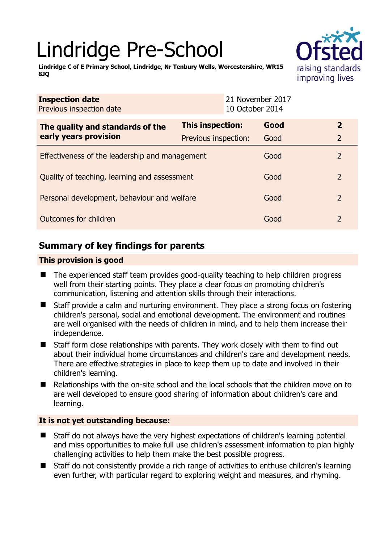# Lindridge Pre-School



**Lindridge C of E Primary School, Lindridge, Nr Tenbury Wells, Worcestershire, WR15 8JQ** 

| <b>Inspection date</b><br>Previous inspection date |                      | 21 November 2017<br>10 October 2014 |      |                |
|----------------------------------------------------|----------------------|-------------------------------------|------|----------------|
| The quality and standards of the                   | This inspection:     |                                     | Good | $\mathbf{z}$   |
| early years provision                              | Previous inspection: |                                     | Good | $\overline{2}$ |
| Effectiveness of the leadership and management     |                      |                                     | Good | 2              |
| Quality of teaching, learning and assessment       |                      |                                     | Good | $\overline{2}$ |
| Personal development, behaviour and welfare        |                      |                                     | Good | 2              |
| Outcomes for children                              |                      |                                     | Good | $\overline{2}$ |

# **Summary of key findings for parents**

## **This provision is good**

- The experienced staff team provides good-quality teaching to help children progress well from their starting points. They place a clear focus on promoting children's communication, listening and attention skills through their interactions.
- Staff provide a calm and nurturing environment. They place a strong focus on fostering children's personal, social and emotional development. The environment and routines are well organised with the needs of children in mind, and to help them increase their independence.
- Staff form close relationships with parents. They work closely with them to find out about their individual home circumstances and children's care and development needs. There are effective strategies in place to keep them up to date and involved in their children's learning.
- Relationships with the on-site school and the local schools that the children move on to are well developed to ensure good sharing of information about children's care and learning.

## **It is not yet outstanding because:**

- Staff do not always have the very highest expectations of children's learning potential and miss opportunities to make full use children's assessment information to plan highly challenging activities to help them make the best possible progress.
- Staff do not consistently provide a rich range of activities to enthuse children's learning even further, with particular regard to exploring weight and measures, and rhyming.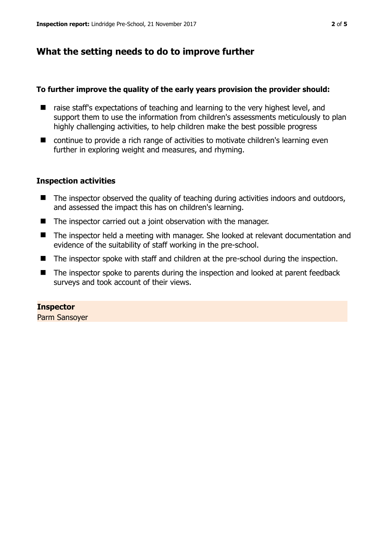## **What the setting needs to do to improve further**

#### **To further improve the quality of the early years provision the provider should:**

- raise staff's expectations of teaching and learning to the very highest level, and support them to use the information from children's assessments meticulously to plan highly challenging activities, to help children make the best possible progress
- continue to provide a rich range of activities to motivate children's learning even further in exploring weight and measures, and rhyming.

#### **Inspection activities**

- The inspector observed the quality of teaching during activities indoors and outdoors, and assessed the impact this has on children's learning.
- The inspector carried out a joint observation with the manager.
- The inspector held a meeting with manager. She looked at relevant documentation and evidence of the suitability of staff working in the pre-school.
- The inspector spoke with staff and children at the pre-school during the inspection.
- The inspector spoke to parents during the inspection and looked at parent feedback surveys and took account of their views.

## **Inspector**

Parm Sansoyer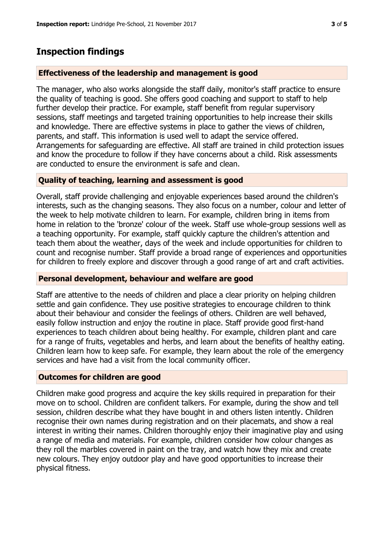# **Inspection findings**

## **Effectiveness of the leadership and management is good**

The manager, who also works alongside the staff daily, monitor's staff practice to ensure the quality of teaching is good. She offers good coaching and support to staff to help further develop their practice. For example, staff benefit from regular supervisory sessions, staff meetings and targeted training opportunities to help increase their skills and knowledge. There are effective systems in place to gather the views of children, parents, and staff. This information is used well to adapt the service offered. Arrangements for safeguarding are effective. All staff are trained in child protection issues and know the procedure to follow if they have concerns about a child. Risk assessments are conducted to ensure the environment is safe and clean.

## **Quality of teaching, learning and assessment is good**

Overall, staff provide challenging and enjoyable experiences based around the children's interests, such as the changing seasons. They also focus on a number, colour and letter of the week to help motivate children to learn. For example, children bring in items from home in relation to the 'bronze' colour of the week. Staff use whole-group sessions well as a teaching opportunity. For example, staff quickly capture the children's attention and teach them about the weather, days of the week and include opportunities for children to count and recognise number. Staff provide a broad range of experiences and opportunities for children to freely explore and discover through a good range of art and craft activities.

## **Personal development, behaviour and welfare are good**

Staff are attentive to the needs of children and place a clear priority on helping children settle and gain confidence. They use positive strategies to encourage children to think about their behaviour and consider the feelings of others. Children are well behaved, easily follow instruction and enjoy the routine in place. Staff provide good first-hand experiences to teach children about being healthy. For example, children plant and care for a range of fruits, vegetables and herbs, and learn about the benefits of healthy eating. Children learn how to keep safe. For example, they learn about the role of the emergency services and have had a visit from the local community officer.

## **Outcomes for children are good**

Children make good progress and acquire the key skills required in preparation for their move on to school. Children are confident talkers. For example, during the show and tell session, children describe what they have bought in and others listen intently. Children recognise their own names during registration and on their placemats, and show a real interest in writing their names. Children thoroughly enjoy their imaginative play and using a range of media and materials. For example, children consider how colour changes as they roll the marbles covered in paint on the tray, and watch how they mix and create new colours. They enjoy outdoor play and have good opportunities to increase their physical fitness.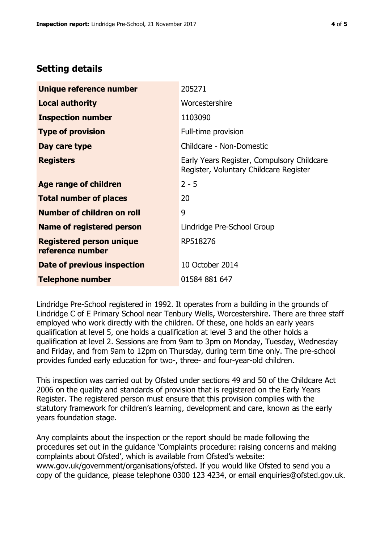# **Setting details**

| Unique reference number                             | 205271                                                                               |  |
|-----------------------------------------------------|--------------------------------------------------------------------------------------|--|
| <b>Local authority</b>                              | Worcestershire                                                                       |  |
| <b>Inspection number</b>                            | 1103090                                                                              |  |
| <b>Type of provision</b>                            | Full-time provision                                                                  |  |
| Day care type                                       | Childcare - Non-Domestic                                                             |  |
| <b>Registers</b>                                    | Early Years Register, Compulsory Childcare<br>Register, Voluntary Childcare Register |  |
| Age range of children                               | $2 - 5$                                                                              |  |
| <b>Total number of places</b>                       | 20                                                                                   |  |
| Number of children on roll                          | 9                                                                                    |  |
| Name of registered person                           | Lindridge Pre-School Group                                                           |  |
| <b>Registered person unique</b><br>reference number | RP518276                                                                             |  |
| Date of previous inspection                         | 10 October 2014                                                                      |  |
| <b>Telephone number</b>                             | 01584 881 647                                                                        |  |

Lindridge Pre-School registered in 1992. It operates from a building in the grounds of Lindridge C of E Primary School near Tenbury Wells, Worcestershire. There are three staff employed who work directly with the children. Of these, one holds an early years qualification at level 5, one holds a qualification at level 3 and the other holds a qualification at level 2. Sessions are from 9am to 3pm on Monday, Tuesday, Wednesday and Friday, and from 9am to 12pm on Thursday, during term time only. The pre-school provides funded early education for two-, three- and four-year-old children.

This inspection was carried out by Ofsted under sections 49 and 50 of the Childcare Act 2006 on the quality and standards of provision that is registered on the Early Years Register. The registered person must ensure that this provision complies with the statutory framework for children's learning, development and care, known as the early years foundation stage.

Any complaints about the inspection or the report should be made following the procedures set out in the guidance 'Complaints procedure: raising concerns and making complaints about Ofsted', which is available from Ofsted's website: www.gov.uk/government/organisations/ofsted. If you would like Ofsted to send you a copy of the guidance, please telephone 0300 123 4234, or email enquiries@ofsted.gov.uk.